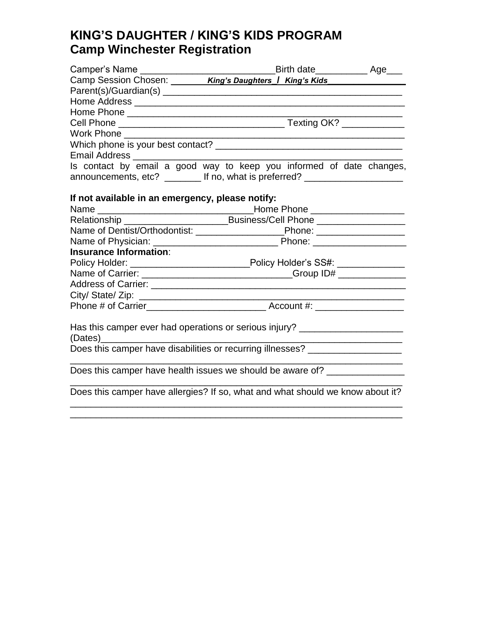# **KING'S DAUGHTER / KING'S KIDS PROGRAM Camp Winchester Registration**

|                                                  | Camp Session Chosen: ________ King's Daughters   King's Kids                      |  |
|--------------------------------------------------|-----------------------------------------------------------------------------------|--|
|                                                  |                                                                                   |  |
|                                                  |                                                                                   |  |
|                                                  |                                                                                   |  |
|                                                  |                                                                                   |  |
|                                                  |                                                                                   |  |
|                                                  |                                                                                   |  |
|                                                  |                                                                                   |  |
|                                                  | Is contact by email a good way to keep you informed of date changes,              |  |
|                                                  | announcements, etc? ________ If no, what is preferred? _________________________  |  |
|                                                  |                                                                                   |  |
| If not available in an emergency, please notify: |                                                                                   |  |
|                                                  |                                                                                   |  |
|                                                  | Relationship ___________________________________Business/Cell Phone _____________ |  |
|                                                  | Name of Dentist/Orthodontist: ____________________________Phone: _______________  |  |
|                                                  |                                                                                   |  |
| <b>Insurance Information:</b>                    |                                                                                   |  |
|                                                  | Policy Holder: ________________________________Policy Holder's SS#: ____________  |  |
|                                                  | Name of Carrier: ___________________________________Group ID# __________________  |  |
|                                                  |                                                                                   |  |
|                                                  |                                                                                   |  |
|                                                  |                                                                                   |  |
|                                                  |                                                                                   |  |
|                                                  | Has this camper ever had operations or serious injury? _________________________  |  |
|                                                  |                                                                                   |  |
|                                                  |                                                                                   |  |
|                                                  | Does this camper have health issues we should be aware of? _____________________  |  |
|                                                  | Does this camper have allergies? If so, what and what should we know about it?    |  |

\_\_\_\_\_\_\_\_\_\_\_\_\_\_\_\_\_\_\_\_\_\_\_\_\_\_\_\_\_\_\_\_\_\_\_\_\_\_\_\_\_\_\_\_\_\_\_\_\_\_\_\_\_\_\_\_\_\_\_\_\_\_\_\_ \_\_\_\_\_\_\_\_\_\_\_\_\_\_\_\_\_\_\_\_\_\_\_\_\_\_\_\_\_\_\_\_\_\_\_\_\_\_\_\_\_\_\_\_\_\_\_\_\_\_\_\_\_\_\_\_\_\_\_\_\_\_\_\_